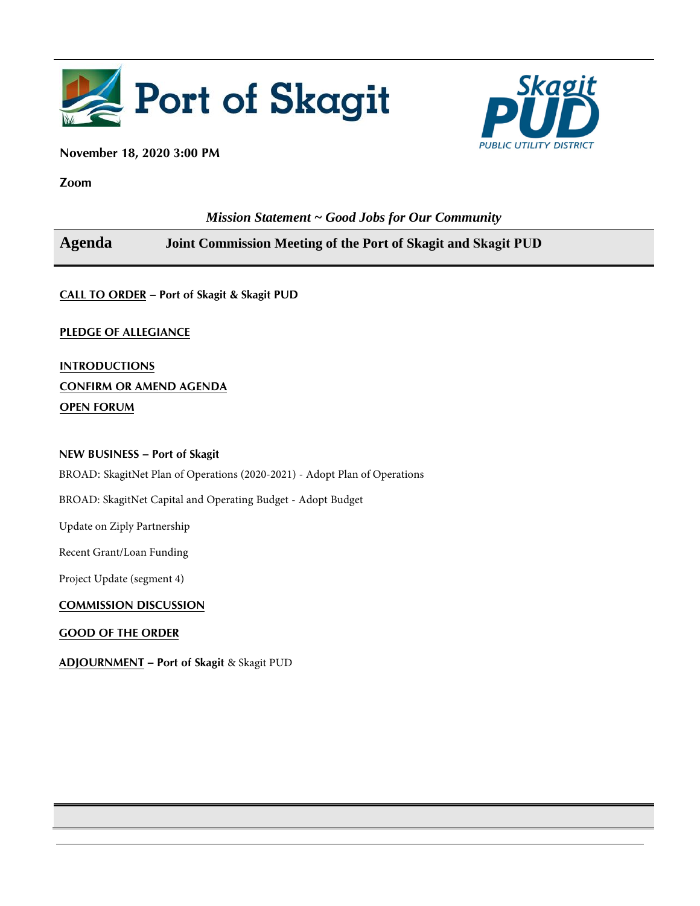



#### **November 18, 2020 3:00 PM**

**Zoom** 

#### *Mission Statement ~ Good Jobs for Our Community*

### **Agenda Joint Commission Meeting of the Port of Skagit and Skagit PUD**

#### **CALL TO ORDER – Port of Skagit & Skagit PUD**

**PLEDGE OF ALLEGIANCE** 

**INTRODUCTIONS CONFIRM OR AMEND AGENDA OPEN FORUM**

#### **NEW BUSINESS – Port of Skagit**

BROAD: SkagitNet Plan of Operations (2020-2021) - Adopt Plan of Operations

BROAD: SkagitNet Capital and Operating Budget - Adopt Budget

Update on Ziply Partnership

Recent Grant/Loan Funding

Project Update (segment 4)

#### **COMMISSION DISCUSSION**

#### **GOOD OF THE ORDER**

**ADJOURNMENT – Port of Skagit** & Skagit PUD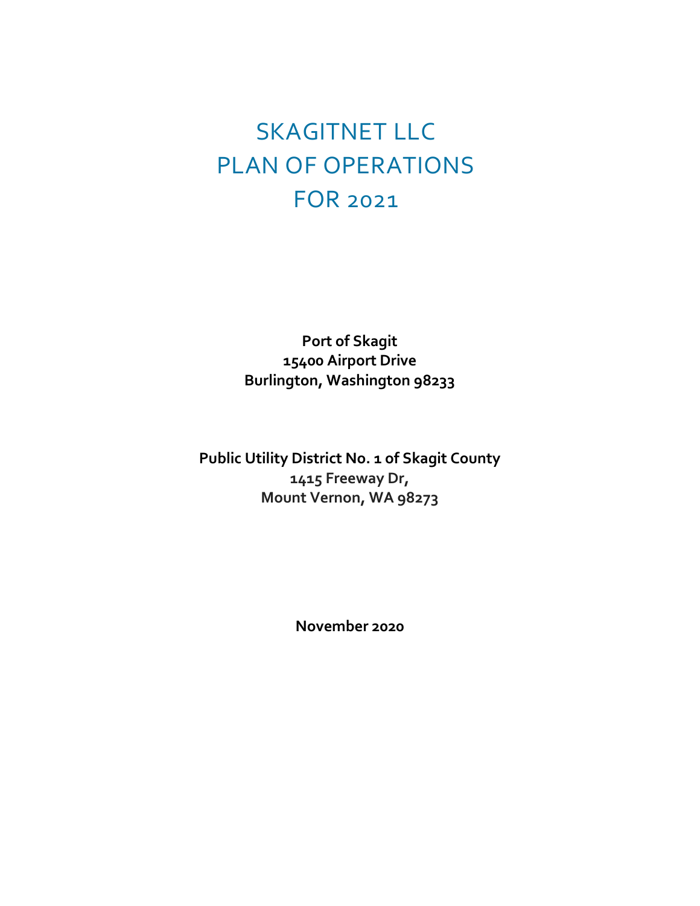# SKAGITNET LLC PLAN OF OPERATIONS FOR 2021

**Port of Skagit 15400 Airport Drive Burlington, Washington 98233**

**Public Utility District No. 1 of Skagit County 1415 Freeway Dr, Mount Vernon, WA 98273**

**November 2020**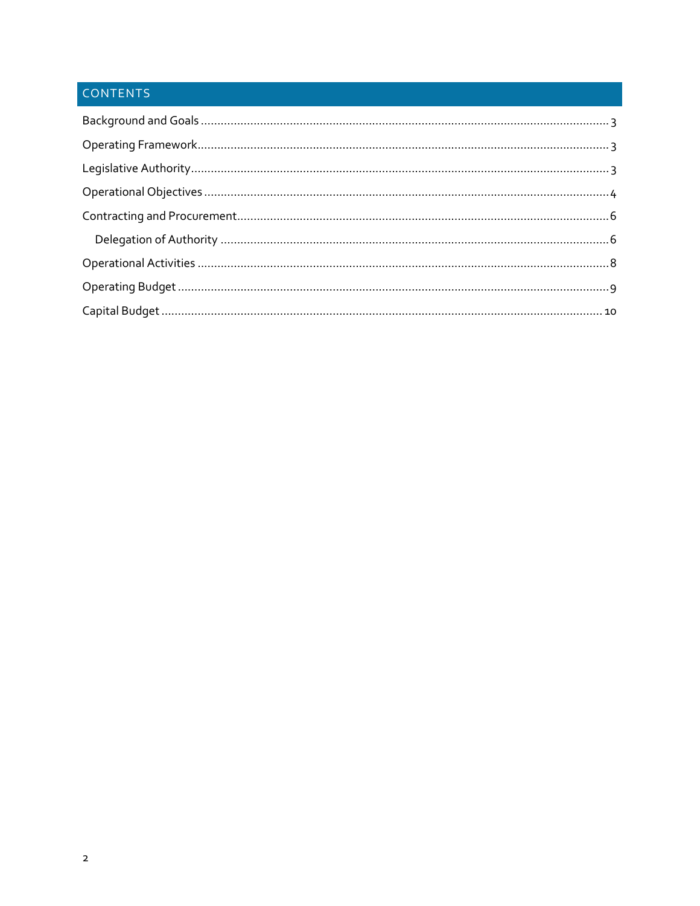# CONTENTS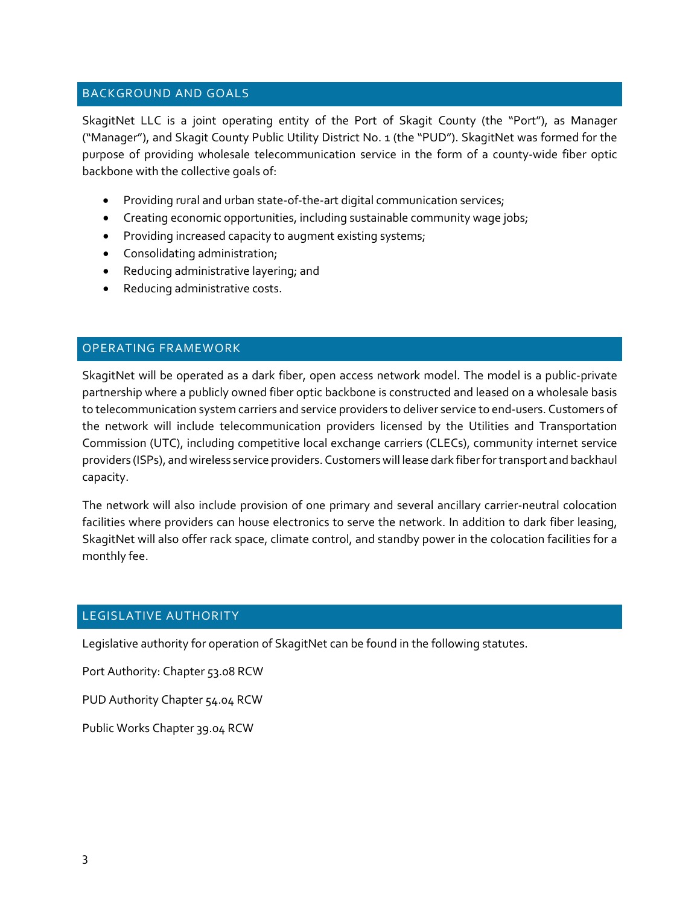#### <span id="page-3-0"></span>BACKGROUND AND GOALS

SkagitNet LLC is a joint operating entity of the Port of Skagit County (the "Port"), as Manager ("Manager"), and Skagit County Public Utility District No. 1 (the "PUD"). SkagitNet was formed for the purpose of providing wholesale telecommunication service in the form of a county-wide fiber optic backbone with the collective goals of:

- Providing rural and urban state-of-the-art digital communication services;
- Creating economic opportunities, including sustainable community wage jobs;
- Providing increased capacity to augment existing systems;
- Consolidating administration;
- Reducing administrative layering; and
- Reducing administrative costs.

#### <span id="page-3-1"></span>OPERATING FRAMEWORK

SkagitNet will be operated as a dark fiber, open access network model. The model is a public-private partnership where a publicly owned fiber optic backbone is constructed and leased on a wholesale basis to telecommunication system carriers and service providers to deliver service to end-users. Customers of the network will include telecommunication providers licensed by the Utilities and Transportation Commission (UTC), including competitive local exchange carriers (CLECs), community internet service providers (ISPs), and wireless service providers. Customers will lease dark fiber for transport and backhaul capacity.

The network will also include provision of one primary and several ancillary carrier-neutral colocation facilities where providers can house electronics to serve the network. In addition to dark fiber leasing, SkagitNet will also offer rack space, climate control, and standby power in the colocation facilities for a monthly fee.

#### <span id="page-3-2"></span>LEGISLATIVE AUTHORITY

Legislative authority for operation of SkagitNet can be found in the following statutes.

Port Authority: Chapter 53.08 RCW

PUD Authority Chapter 54.04 RCW

Public Works Chapter 39.04 RCW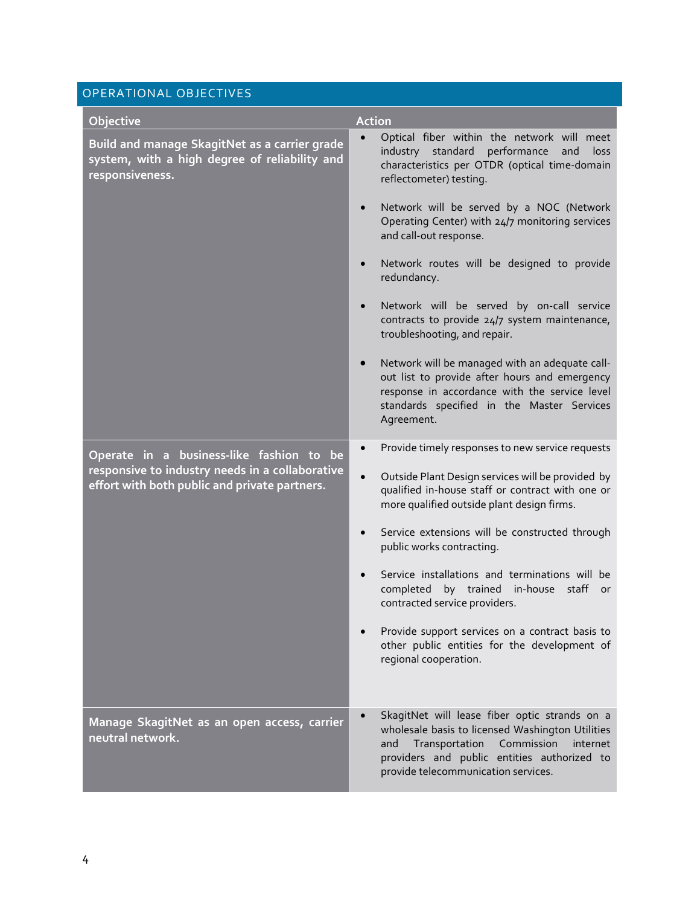# <span id="page-4-0"></span>OPERATIONAL OBJECTIVES

| Objective                                                                                                         | <b>Action</b>                                                                                                                                                                                                                              |
|-------------------------------------------------------------------------------------------------------------------|--------------------------------------------------------------------------------------------------------------------------------------------------------------------------------------------------------------------------------------------|
| Build and manage SkagitNet as a carrier grade<br>system, with a high degree of reliability and<br>responsiveness. | Optical fiber within the network will meet<br>$\bullet$<br>industry standard<br>performance<br>and<br>loss<br>characteristics per OTDR (optical time-domain<br>reflectometer) testing.                                                     |
|                                                                                                                   | Network will be served by a NOC (Network<br>$\bullet$<br>Operating Center) with 24/7 monitoring services<br>and call-out response.                                                                                                         |
|                                                                                                                   | Network routes will be designed to provide<br>redundancy.                                                                                                                                                                                  |
|                                                                                                                   | Network will be served by on-call service<br>contracts to provide 24/7 system maintenance,<br>troubleshooting, and repair.                                                                                                                 |
|                                                                                                                   | Network will be managed with an adequate call-<br>out list to provide after hours and emergency<br>response in accordance with the service level<br>standards specified in the Master Services<br>Agreement.                               |
| Operate in a business-like fashion to be                                                                          | Provide timely responses to new service requests<br>$\bullet$                                                                                                                                                                              |
| responsive to industry needs in a collaborative<br>effort with both public and private partners.                  | Outside Plant Design services will be provided by<br>qualified in-house staff or contract with one or<br>more qualified outside plant design firms.                                                                                        |
|                                                                                                                   | Service extensions will be constructed through<br>public works contracting.                                                                                                                                                                |
|                                                                                                                   | Service installations and terminations will be<br>completed<br>by trained in-house<br>staff<br>or<br>contracted service providers.                                                                                                         |
|                                                                                                                   | Provide support services on a contract basis to<br>other public entities for the development of<br>regional cooperation.                                                                                                                   |
| Manage SkagitNet as an open access, carrier<br>neutral network.                                                   | SkagitNet will lease fiber optic strands on a<br>wholesale basis to licensed Washington Utilities<br>Commission<br>Transportation<br>internet<br>and<br>providers and public entities authorized to<br>provide telecommunication services. |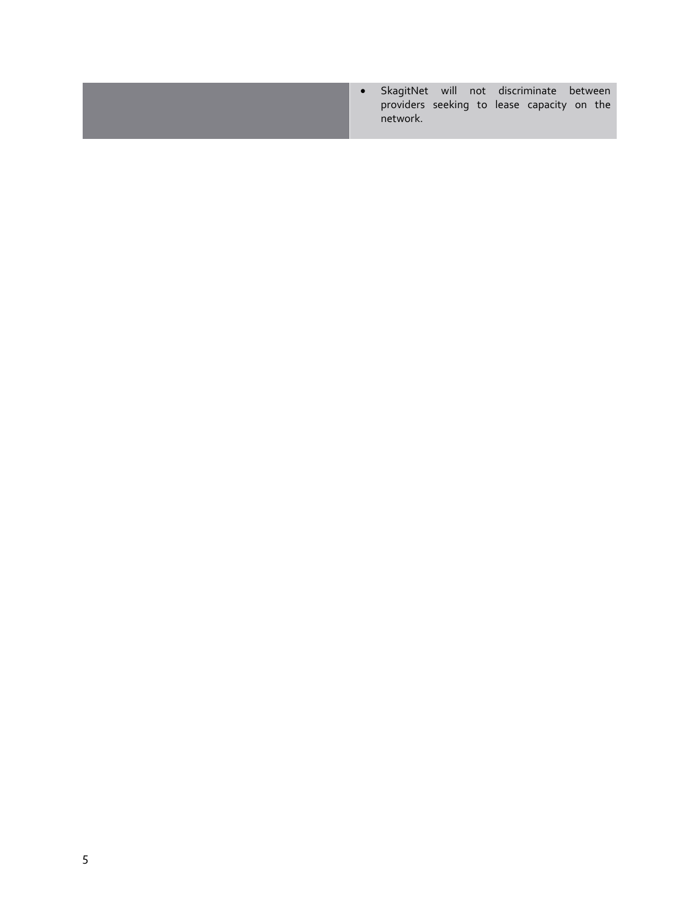• SkagitNet will not discriminate between providers seeking to lease capacity on the network.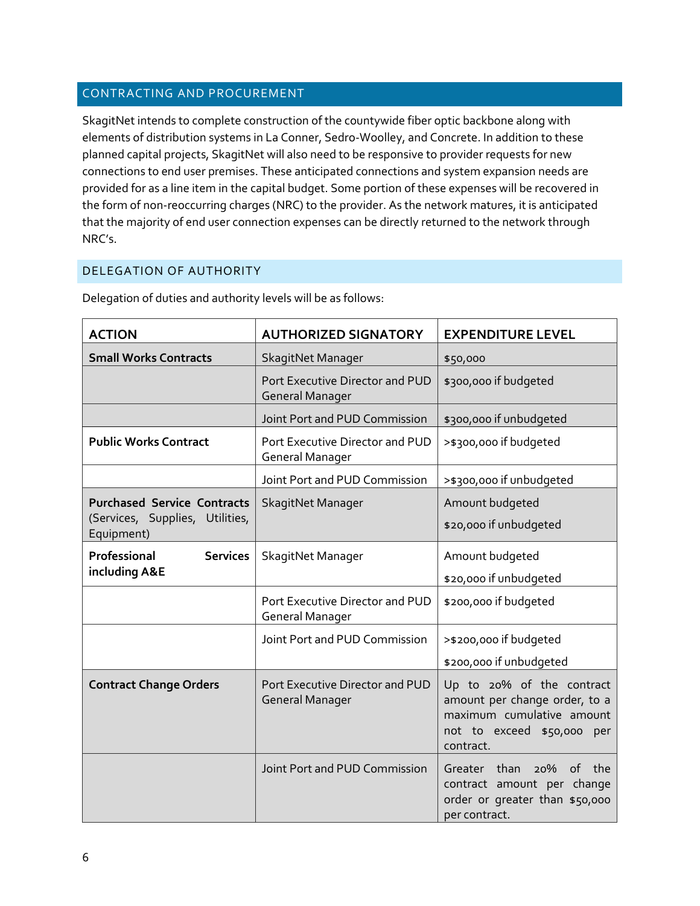#### <span id="page-6-0"></span>CONTRACTING AND PROCUREMENT

SkagitNet intends to complete construction of the countywide fiber optic backbone along with elements of distribution systems in La Conner, Sedro-Woolley, and Concrete. In addition to these planned capital projects, SkagitNet will also need to be responsive to provider requests for new connections to end user premises. These anticipated connections and system expansion needs are provided for as a line item in the capital budget. Some portion of these expenses will be recovered in the form of non-reoccurring charges (NRC) to the provider. As the network matures, it is anticipated that the majority of end user connection expenses can be directly returned to the network through NRC's.

#### <span id="page-6-1"></span>DELEGATION OF AUTHORITY

| <b>ACTION</b>                                 | <b>AUTHORIZED SIGNATORY</b>                               | <b>EXPENDITURE LEVEL</b>                                                                                                              |  |  |  |  |  |
|-----------------------------------------------|-----------------------------------------------------------|---------------------------------------------------------------------------------------------------------------------------------------|--|--|--|--|--|
| <b>Small Works Contracts</b>                  | SkagitNet Manager                                         | \$50,000                                                                                                                              |  |  |  |  |  |
|                                               | Port Executive Director and PUD<br><b>General Manager</b> | \$300,000 if budgeted                                                                                                                 |  |  |  |  |  |
|                                               | Joint Port and PUD Commission                             | \$300,000 if unbudgeted                                                                                                               |  |  |  |  |  |
| <b>Public Works Contract</b>                  | Port Executive Director and PUD<br><b>General Manager</b> | >\$300,000 if budgeted                                                                                                                |  |  |  |  |  |
|                                               | Joint Port and PUD Commission                             | >\$300,000 if unbudgeted                                                                                                              |  |  |  |  |  |
| <b>Purchased Service Contracts</b>            | SkagitNet Manager                                         | Amount budgeted                                                                                                                       |  |  |  |  |  |
| (Services, Supplies, Utilities,<br>Equipment) |                                                           | \$20,000 if unbudgeted                                                                                                                |  |  |  |  |  |
| Professional<br><b>Services</b>               | SkagitNet Manager                                         | Amount budgeted<br>\$20,000 if unbudgeted                                                                                             |  |  |  |  |  |
| including A&E                                 |                                                           |                                                                                                                                       |  |  |  |  |  |
|                                               | Port Executive Director and PUD<br><b>General Manager</b> | \$200,000 if budgeted                                                                                                                 |  |  |  |  |  |
|                                               | Joint Port and PUD Commission                             | >\$200,000 if budgeted                                                                                                                |  |  |  |  |  |
|                                               |                                                           | \$200,000 if unbudgeted                                                                                                               |  |  |  |  |  |
| <b>Contract Change Orders</b>                 | Port Executive Director and PUD<br><b>General Manager</b> | Up to 20% of the contract<br>amount per change order, to a<br>maximum cumulative amount<br>not to exceed \$50,000<br>per<br>contract. |  |  |  |  |  |
|                                               | Joint Port and PUD Commission                             | Greater than<br>20%<br>of the<br>contract amount per change<br>order or greater than \$50,000<br>per contract.                        |  |  |  |  |  |

Delegation of duties and authority levels will be as follows: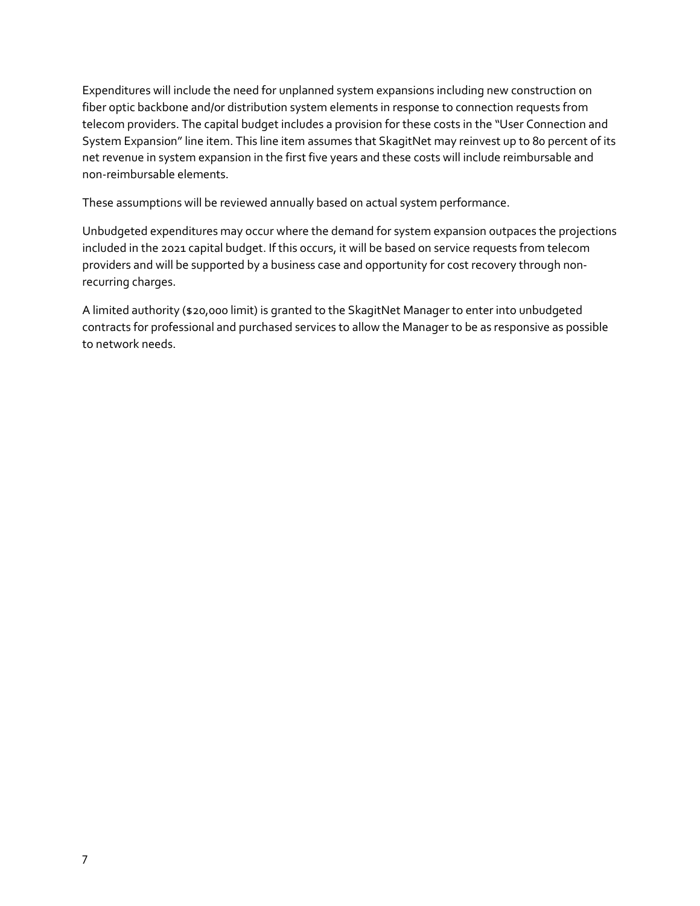Expenditures will include the need for unplanned system expansions including new construction on fiber optic backbone and/or distribution system elements in response to connection requests from telecom providers. The capital budget includes a provision for these costs in the "User Connection and System Expansion" line item. This line item assumes that SkagitNet may reinvest up to 80 percent of its net revenue in system expansion in the first five years and these costs will include reimbursable and non-reimbursable elements.

These assumptions will be reviewed annually based on actual system performance.

Unbudgeted expenditures may occur where the demand for system expansion outpaces the projections included in the 2021 capital budget. If this occurs, it will be based on service requests from telecom providers and will be supported by a business case and opportunity for cost recovery through nonrecurring charges.

A limited authority (\$20,000 limit) is granted to the SkagitNet Manager to enter into unbudgeted contracts for professional and purchased services to allow the Manager to be as responsive as possible to network needs.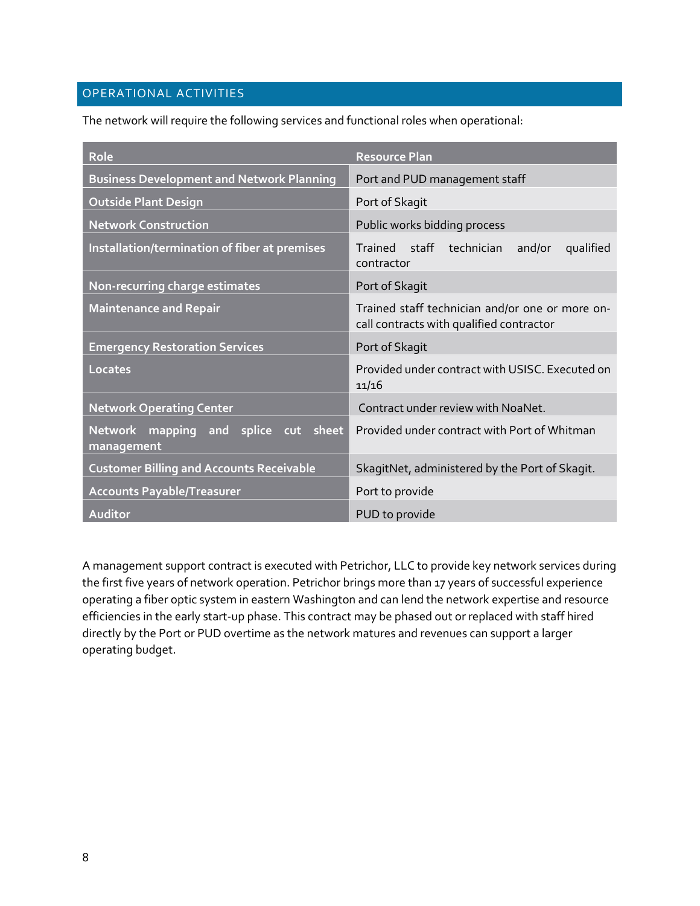## <span id="page-8-0"></span>OPERATIONAL ACTIVITIES

The network will require the following services and functional roles when operational:

| Role                                                     | <b>Resource Plan</b>                                                                        |  |  |  |
|----------------------------------------------------------|---------------------------------------------------------------------------------------------|--|--|--|
| <b>Business Development and Network Planning</b>         | Port and PUD management staff                                                               |  |  |  |
| <b>Outside Plant Design</b>                              | Port of Skagit                                                                              |  |  |  |
| <b>Network Construction</b>                              | Public works bidding process                                                                |  |  |  |
| Installation/termination of fiber at premises            | Trained staff<br>technician<br>and/or<br>qualified<br>contractor                            |  |  |  |
| Non-recurring charge estimates                           | Port of Skagit                                                                              |  |  |  |
| <b>Maintenance and Repair</b>                            | Trained staff technician and/or one or more on-<br>call contracts with qualified contractor |  |  |  |
| <b>Emergency Restoration Services</b>                    | Port of Skagit                                                                              |  |  |  |
| Locates                                                  | Provided under contract with USISC. Executed on<br>11/16                                    |  |  |  |
| <b>Network Operating Center</b>                          | Contract under review with NoaNet.                                                          |  |  |  |
| Network mapping and splice<br>cut<br>sheet<br>management | Provided under contract with Port of Whitman                                                |  |  |  |
| <b>Customer Billing and Accounts Receivable</b>          | SkagitNet, administered by the Port of Skagit.                                              |  |  |  |
| <b>Accounts Payable/Treasurer</b>                        | Port to provide                                                                             |  |  |  |
| <b>Auditor</b>                                           | PUD to provide                                                                              |  |  |  |

A management support contract is executed with Petrichor, LLC to provide key network services during the first five years of network operation. Petrichor brings more than 17 years of successful experience operating a fiber optic system in eastern Washington and can lend the network expertise and resource efficiencies in the early start-up phase. This contract may be phased out or replaced with staff hired directly by the Port or PUD overtime as the network matures and revenues can support a larger operating budget.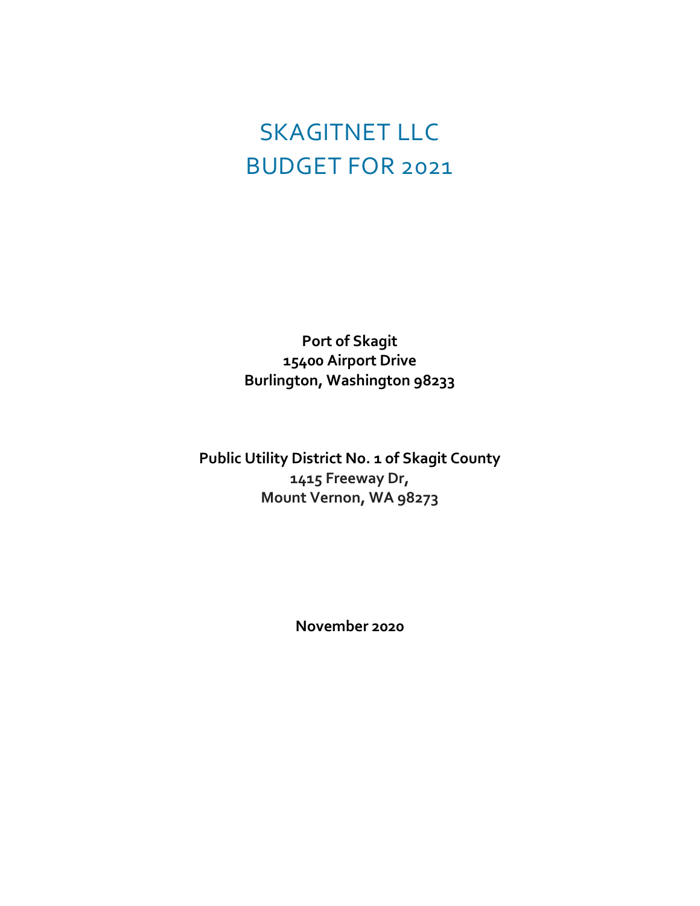# SKAGITNET LLC BUDGET FOR 2021

**Port of Skagit 15400 Airport Drive Burlington, Washington 98233**

**Public Utility District No. 1 of Skagit County 1415 Freeway Dr, Mount Vernon, WA 98273**

**November 2020**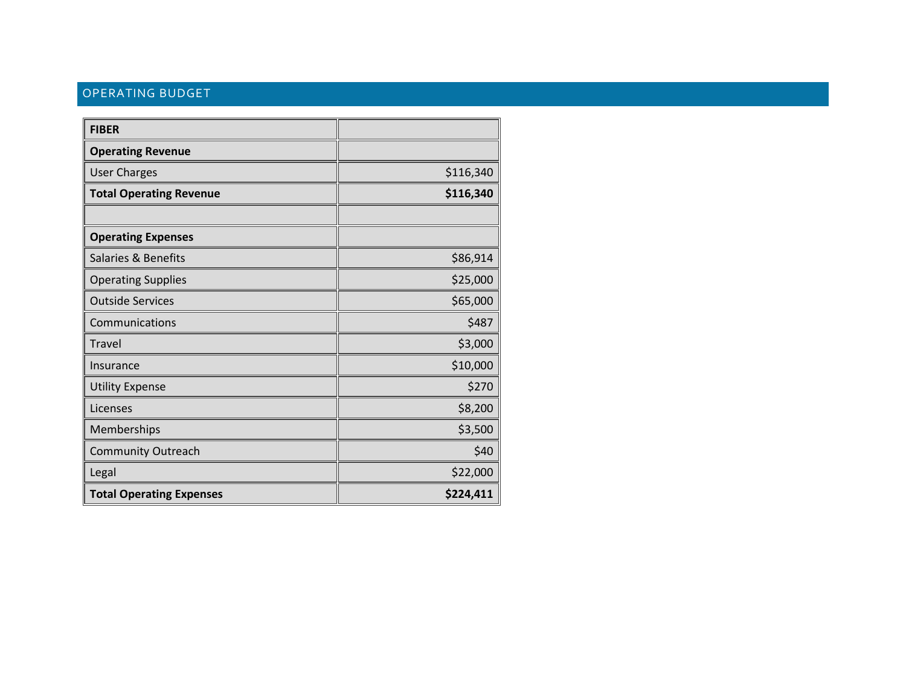### OPERATING BUDGET

| <b>FIBER</b>                    |           |
|---------------------------------|-----------|
| <b>Operating Revenue</b>        |           |
| <b>User Charges</b>             | \$116,340 |
| <b>Total Operating Revenue</b>  | \$116,340 |
|                                 |           |
| <b>Operating Expenses</b>       |           |
| <b>Salaries &amp; Benefits</b>  | \$86,914  |
| <b>Operating Supplies</b>       | \$25,000  |
| <b>Outside Services</b>         | \$65,000  |
| Communications                  | \$487     |
| <b>Travel</b>                   | \$3,000   |
| Insurance                       | \$10,000  |
| <b>Utility Expense</b>          | \$270     |
| Licenses                        | \$8,200   |
| Memberships                     | \$3,500   |
| <b>Community Outreach</b>       | \$40      |
| Legal                           | \$22,000  |
| <b>Total Operating Expenses</b> | \$224,411 |